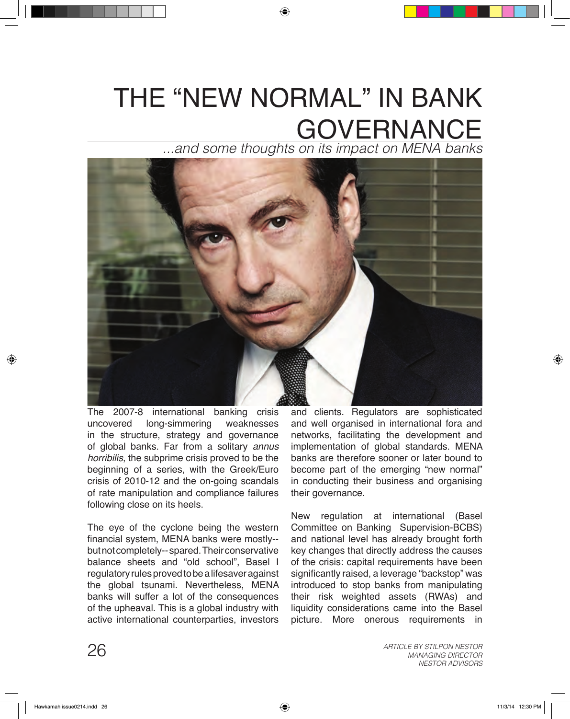## THE "NEW NORMAL" IN BANK GOVERNANCE

*...and some thoughts on its impact on MENA banks*



The 2007-8 international banking crisis uncovered long-simmering weaknesses in the structure, strategy and governance of global banks. Far from a solitary *annus horribilis*, the subprime crisis proved to be the beginning of a series, with the Greek/Euro crisis of 2010-12 and the on-going scandals of rate manipulation and compliance failures following close on its heels.

The eye of the cyclone being the western financial system, MENA banks were mostly- but not completely-- spared. Their conservative balance sheets and "old school", Basel I regulatory rules proved to be a lifesaver against the global tsunami. Nevertheless, MENA banks will suffer a lot of the consequences of the upheaval. This is a global industry with active international counterparties, investors and clients. Regulators are sophisticated and well organised in international fora and networks, facilitating the development and implementation of global standards. MENA banks are therefore sooner or later bound to become part of the emerging "new normal" in conducting their business and organising their governance.

New regulation at international (Basel Committee on Banking Supervision-BCBS) and national level has already brought forth key changes that directly address the causes of the crisis: capital requirements have been significantly raised, a leverage "backstop" was introduced to stop banks from manipulating their risk weighted assets (RWAs) and liquidity considerations came into the Basel picture. More onerous requirements in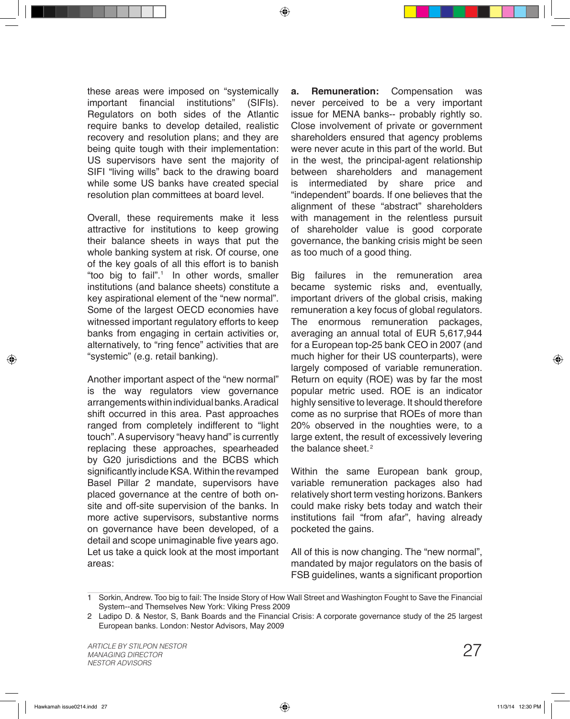these areas were imposed on "systemically important financial institutions" (SIFIs). Regulators on both sides of the Atlantic require banks to develop detailed, realistic recovery and resolution plans; and they are being quite tough with their implementation: US supervisors have sent the majority of SIFI "living wills" back to the drawing board while some US banks have created special resolution plan committees at board level.

Overall, these requirements make it less attractive for institutions to keep growing their balance sheets in ways that put the whole banking system at risk. Of course, one of the key goals of all this effort is to banish "too big to fail".<sup>1</sup> In other words, smaller institutions (and balance sheets) constitute a key aspirational element of the "new normal". Some of the largest OECD economies have witnessed important regulatory efforts to keep banks from engaging in certain activities or, alternatively, to "ring fence" activities that are "systemic" (e.g. retail banking).

Another important aspect of the "new normal" is the way regulators view governance arrangements within individual banks. A radical shift occurred in this area. Past approaches ranged from completely indifferent to "light touch". A supervisory "heavy hand" is currently replacing these approaches, spearheaded by G20 jurisdictions and the BCBS which significantly include KSA. Within the revamped Basel Pillar 2 mandate, supervisors have placed governance at the centre of both onsite and off-site supervision of the banks. In more active supervisors, substantive norms on governance have been developed, of a detail and scope unimaginable five years ago. Let us take a quick look at the most important areas:

**a. Remuneration:** Compensation was never perceived to be a very important issue for MENA banks-- probably rightly so. Close involvement of private or government shareholders ensured that agency problems were never acute in this part of the world. But in the west, the principal-agent relationship between shareholders and management is intermediated by share price and "independent" boards. If one believes that the alignment of these "abstract" shareholders with management in the relentless pursuit of shareholder value is good corporate governance, the banking crisis might be seen as too much of a good thing.

Big failures in the remuneration area became systemic risks and, eventually, important drivers of the global crisis, making remuneration a key focus of global regulators. The enormous remuneration packages, averaging an annual total of EUR 5,617,944 for a European top-25 bank CEO in 2007 (and much higher for their US counterparts), were largely composed of variable remuneration. Return on equity (ROE) was by far the most popular metric used. ROE is an indicator highly sensitive to leverage. It should therefore come as no surprise that ROEs of more than 20% observed in the noughties were, to a large extent, the result of excessively levering the balance sheet. 2

Within the same European bank group, variable remuneration packages also had relatively short term vesting horizons. Bankers could make risky bets today and watch their institutions fail "from afar", having already pocketed the gains.

All of this is now changing. The "new normal", mandated by major regulators on the basis of FSB guidelines, wants a significant proportion

<sup>1</sup> Sorkin, Andrew. Too big to fail: The Inside Story of How Wall Street and Washington Fought to Save the Financial System--and Themselves New York: Viking Press 2009

Ladipo D. & Nestor, S, Bank Boards and the Financial Crisis: A corporate governance study of the 25 largest 2 European banks. London: Nestor Advisors, May 2009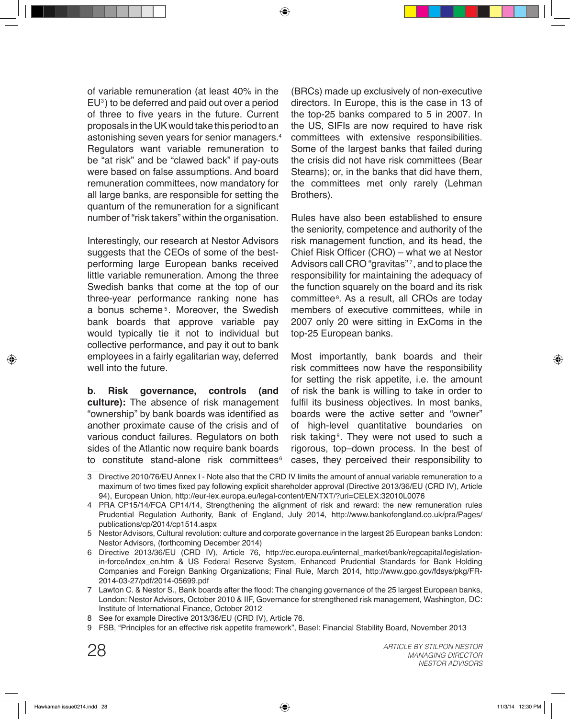of variable remuneration (at least 40% in the  $EU<sup>3</sup>$ ) to be deferred and paid out over a period of three to five years in the future. Current proposals in the UK would take this period to an astonishing seven years for senior managers. 4 Regulators want variable remuneration to be "at risk" and be "clawed back" if pay-outs were based on false assumptions. And board remuneration committees, now mandatory for all large banks, are responsible for setting the quantum of the remuneration for a significant number of "risk takers" within the organisation.

Interestingly, our research at Nestor Advisors suggests that the CEOs of some of the bestperforming large European banks received little variable remuneration. Among the three Swedish banks that come at the top of our three-year performance ranking none has a bonus scheme<sup>5</sup>. Moreover, the Swedish bank boards that approve variable pay would typically tie it not to individual but collective performance, and pay it out to bank employees in a fairly egalitarian way, deferred well into the future.

**b. Risk governance, controls (and culture):** The absence of risk management "ownership" by bank boards was identified as another proximate cause of the crisis and of various conduct failures. Regulators on both sides of the Atlantic now require bank boards to constitute stand-alone risk committees $\,^{\circ}$ 

(BRCs) made up exclusively of non-executive directors. In Europe, this is the case in 13 of the top-25 banks compared to 5 in 2007. In the US, SIFIs are now required to have risk committees with extensive responsibilities. Some of the largest banks that failed during the crisis did not have risk committees (Bear Stearns); or, in the banks that did have them, the committees met only rarely (Lehman Brothers).

Rules have also been established to ensure the seniority, competence and authority of the risk management function, and its head, the Chief Risk Officer (CRO) – what we at Nestor Advisors call CRO "gravitas"<sup>7</sup>, and to place the responsibility for maintaining the adequacy of the function squarely on the board and its risk committee<sup>s</sup>. As a result, all CROs are today members of executive committees, while in 2007 only 20 were sitting in ExComs in the top-25 European banks.

Most importantly, bank boards and their risk committees now have the responsibility for setting the risk appetite, i.e. the amount of risk the bank is willing to take in order to fulfil its business objectives. In most banks, boards were the active setter and "owner" of high-level quantitative boundaries on risk taking<sup>®</sup>. They were not used to such a rigorous, top–down process. In the best of cases, they perceived their responsibility to

Directive 2010/76/EU Annex I - Note also that the CRD IV limits the amount of annual variable remuneration to a 3 maximum of two times fixed pay following explicit shareholder approval (Directive 2013/36/EU (CRD IV), Article 94), European Union, http://eur-lex.europa.eu/legal-content/EN/TXT/?uri=CELEX:32010L0076

PRA CP15/14/FCA CP14/14, Strengthening the alignment of risk and reward: the new remuneration rules 4 Prudential Regulation Authority, Bank of England, July 2014, http://www.bankofengland.co.uk/pra/Pages/ publications/cp/2014/cp1514.aspx

Nestor Advisors, Cultural revolution: culture and corporate governance in the largest 25 European banks London: 5 Nestor Advisors, (forthcoming December 2014)

- 6 Directive 2013/36/EU (CRD IV), Article 76, http://ec.europa.eu/internal\_market/bank/regcapital/legislationin-force/index\_en.htm & US Federal Reserve System, Enhanced Prudential Standards for Bank Holding Companies and Foreign Banking Organizations; Final Rule, March 2014, http://www.gpo.gov/fdsys/pkg/FR-2014-03-27/pdf/2014-05699.pdf
- 7 Lawton C. & Nestor S., Bank boards after the flood: The changing governance of the 25 largest European banks, London: Nestor Advisors, October 2010 & IIF, Governance for strengthened risk management, Washington, DC: Institute of International Finance, October 2012
- 8 See for example Directive 2013/36/EU (CRD IV), Article 76.
- FSB, "Principles for an effective risk appetite framework", Basel: Financial Stability Board, November 2013 9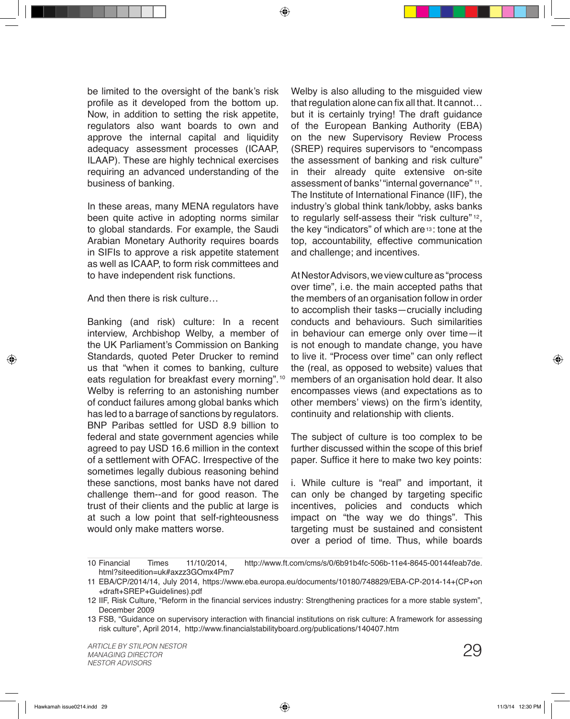be limited to the oversight of the bank's risk profile as it developed from the bottom up. Now, in addition to setting the risk appetite, regulators also want boards to own and approve the internal capital and liquidity adequacy assessment processes (ICAAP, ILAAP). These are highly technical exercises requiring an advanced understanding of the business of banking.

In these areas, many MENA regulators have been quite active in adopting norms similar to global standards. For example, the Saudi Arabian Monetary Authority requires boards in SIFIs to approve a risk appetite statement as well as ICAAP, to form risk committees and to have independent risk functions.

And then there is risk culture…

Banking (and risk) culture: In a recent interview, Archbishop Welby, a member of the UK Parliament's Commission on Banking Standards, quoted Peter Drucker to remind us that "when it comes to banking, culture eats regulation for breakfast every morning". 10 Welby is referring to an astonishing number of conduct failures among global banks which has led to a barrage of sanctions by regulators. BNP Paribas settled for USD 8.9 billion to federal and state government agencies while agreed to pay USD 16.6 million in the context of a settlement with OFAC. Irrespective of the sometimes legally dubious reasoning behind these sanctions, most banks have not dared challenge them--and for good reason. The trust of their clients and the public at large is at such a low point that self-righteousness would only make matters worse.

Welby is also alluding to the misguided view that regulation alone can fix all that. It cannot… but it is certainly trying! The draft guidance of the European Banking Authority (EBA) on the new Supervisory Review Process (SREP) requires supervisors to "encompass the assessment of banking and risk culture" in their already quite extensive on-site assessment of banks' "internal governance" <sup>11</sup>. The Institute of International Finance (IIF), the industry's global think tank/lobby, asks banks to regularly self-assess their "risk culture"  $12$ , the key "indicators" of which are  $\overline{13}$ : tone at the top, accountability, effective communication and challenge; and incentives.

At Nestor Advisors, we view culture as "process over time", i.e. the main accepted paths that the members of an organisation follow in order to accomplish their tasks—crucially including conducts and behaviours. Such similarities in behaviour can emerge only over time—it is not enough to mandate change, you have to live it. "Process over time" can only reflect the (real, as opposed to website) values that members of an organisation hold dear. It also encompasses views (and expectations as to other members' views) on the firm's identity, continuity and relationship with clients.

The subject of culture is too complex to be further discussed within the scope of this brief paper. Suffice it here to make two key points:

i. While culture is "real" and important, it can only be changed by targeting specific incentives, policies and conducts which impact on "the way we do things". This targeting must be sustained and consistent over a period of time. Thus, while boards

Financial Times 11/10/2014, http://www.ft.com/cms/s/0/6b91b4fc-506b-11e4-8645-00144feab7de. html?siteedition=uk#axzz3GOmx4Pm7 10 Financial

EBA/CP/2014/14, July 2014, https://www.eba.europa.eu/documents/10180/748829/EBA-CP-2014-14+(CP+on 11 +draft+SREP+Guidelines).pdf

<sup>12</sup> IIF, Risk Culture, "Reform in the financial services industry: Strengthening practices for a more stable system", December 2009

<sup>13</sup> FSB, "Guidance on supervisory interaction with financial institutions on risk culture: A framework for assessing risk culture", April 2014, http://www.financialstabilityboard.org/publications/140407.htm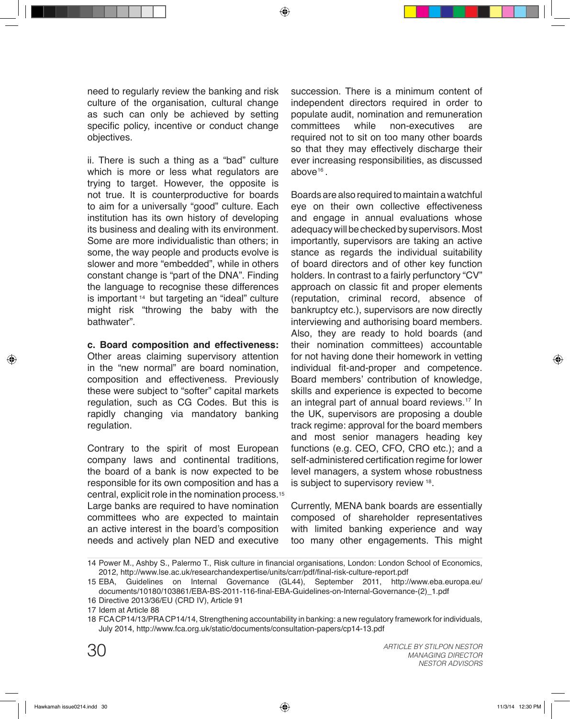need to regularly review the banking and risk culture of the organisation, cultural change as such can only be achieved by setting specific policy, incentive or conduct change objectives.

ii. There is such a thing as a "bad" culture which is more or less what regulators are trying to target. However, the opposite is not true. It is counterproductive for boards to aim for a universally "good" culture. Each institution has its own history of developing its business and dealing with its environment. Some are more individualistic than others; in some, the way people and products evolve is slower and more "embedded", while in others constant change is "part of the DNA". Finding the language to recognise these differences is important 14 but targeting an "ideal" culture might risk "throwing the baby with the bathwater".

**c. Board composition and effectiveness:**

Other areas claiming supervisory attention in the "new normal" are board nomination, composition and effectiveness. Previously these were subject to "softer" capital markets regulation, such as CG Codes. But this is rapidly changing via mandatory banking regulation.

Contrary to the spirit of most European company laws and continental traditions, the board of a bank is now expected to be responsible for its own composition and has a central, explicit role in the nomination process. 15 Large banks are required to have nomination committees who are expected to maintain an active interest in the board's composition needs and actively plan NED and executive

succession. There is a minimum content of independent directors required in order to populate audit, nomination and remuneration committees while non-executives are required not to sit on too many other boards so that they may effectively discharge their ever increasing responsibilities, as discussed  $above<sup>16</sup>$ .

Boards are also required to maintain a watchful eye on their own collective effectiveness and engage in annual evaluations whose adequacy will be checked by supervisors. Most importantly, supervisors are taking an active stance as regards the individual suitability of board directors and of other key function holders. In contrast to a fairly perfunctory "CV" approach on classic fit and proper elements (reputation, criminal record, absence of bankruptcy etc.), supervisors are now directly interviewing and authorising board members. Also, they are ready to hold boards (and their nomination committees) accountable for not having done their homework in vetting individual fit-and-proper and competence. Board members' contribution of knowledge, skills and experience is expected to become an integral part of annual board reviews.<sup>17</sup> In the UK, supervisors are proposing a double track regime: approval for the board members and most senior managers heading key functions (e.g. CEO, CFO, CRO etc.); and a self-administered certification regime for lower level managers, a system whose robustness is subject to supervisory review <sup>18</sup>.

Currently, MENA bank boards are essentially composed of shareholder representatives with limited banking experience and way too many other engagements. This might

<sup>14</sup> Power M., Ashby S., Palermo T., Risk culture in financial organisations, London: London School of Economics, 2012, http://www.lse.ac.uk/researchandexpertise/units/carr/pdf/final-risk-culture-report.pdf

EBA, Guidelines on Internal Governance (GL44), September 2011, http://www.eba.europa.eu/ 15 documents/10180/103861/EBA-BS-2011-116-final-EBA-Guidelines-on-Internal-Governance-(2)\_1.pdf

<sup>16</sup> Directive 2013/36/EU (CRD IV), Article 91

<sup>17</sup> Idem at Article 88

FCA CP14/13/PRA CP14/14, Strengthening accountability in banking: a new regulatory framework for individuals, 18 July 2014, http://www.fca.org.uk/static/documents/consultation-papers/cp14-13.pdf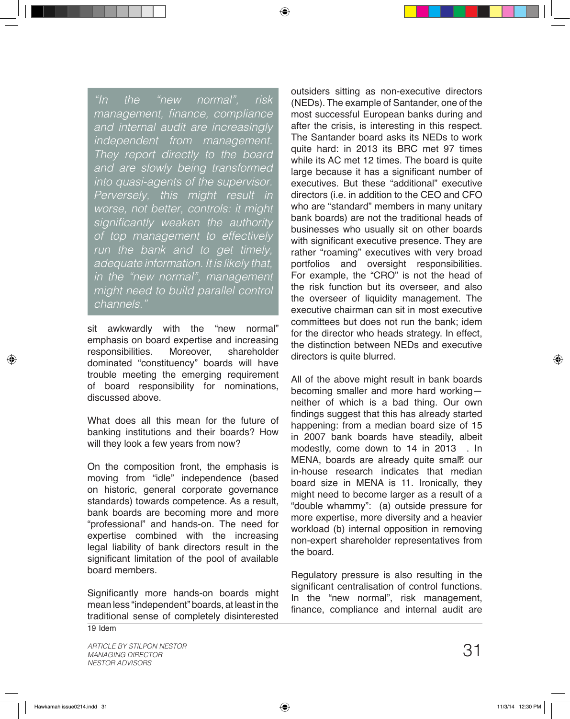*"In the "new normal", risk*  management, finance, compliance *and internal audit are increasingly independent from management. They report directly to the board and are slowly being transformed into quasi-agents of the supervisor. Perversely, this might result in worse, not better, controls: it might*  significantly weaken the authority *of top management to effectively run the bank and to get timely, adequate information. It is likely that, in the "new normal", management might need to build parallel control channels."*

sit awkwardly with the "new normal" emphasis on board expertise and increasing<br>responsibilities. Moreover, shareholder responsibilities. dominated "constituency" boards will have trouble meeting the emerging requirement of board responsibility for nominations, discussed above.

What does all this mean for the future of banking institutions and their boards? How will they look a few years from now?

On the composition front, the emphasis is moving from "idle" independence (based on historic, general corporate governance standards) towards competence. As a result, bank boards are becoming more and more "professional" and hands-on. The need for expertise combined with the increasing legal liability of bank directors result in the significant limitation of the pool of available board members.

Significantly more hands-on boards might mean less "independent" boards, at least in the traditional sense of completely disinterested outsiders sitting as non-executive directors (NEDs). The example of Santander, one of the most successful European banks during and after the crisis, is interesting in this respect. The Santander board asks its NEDs to work quite hard: in 2013 its BRC met 97 times while its AC met 12 times. The board is quite large because it has a significant number of executives. But these "additional" executive directors (i.e. in addition to the CEO and CFO who are "standard" members in many unitary bank boards) are not the traditional heads of businesses who usually sit on other boards with significant executive presence. They are rather "roaming" executives with very broad portfolios and oversight responsibilities. For example, the "CRO" is not the head of the risk function but its overseer, and also the overseer of liquidity management. The executive chairman can sit in most executive committees but does not run the bank; idem for the director who heads strategy. In effect, the distinction between NEDs and executive directors is quite blurred.

All of the above might result in bank boards becoming smaller and more hard working neither of which is a bad thing. Our own findings suggest that this has already started happening: from a median board size of 15 in 2007 bank boards have steadily, albeit modestly, come down to 14 in 2013 . In MENA, boards are already quite small<sup>o</sup> our in-house research indicates that median board size in MENA is 11. Ironically, they might need to become larger as a result of a "double whammy": (a) outside pressure for more expertise, more diversity and a heavier workload (b) internal opposition in removing non-expert shareholder representatives from the board.

Regulatory pressure is also resulting in the significant centralisation of control functions. In the "new normal", risk management, finance, compliance and internal audit are

 $19$  Idem